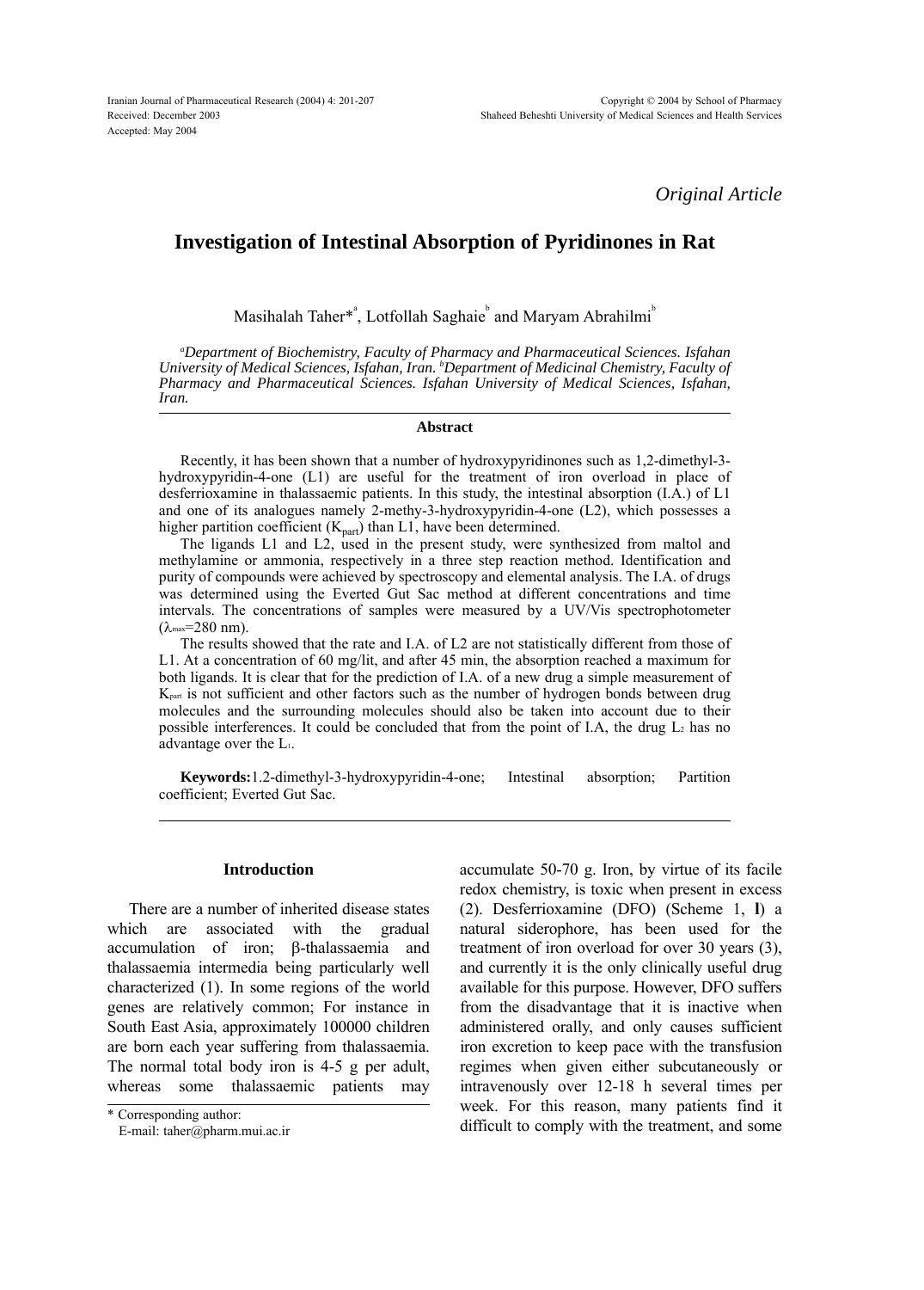# *Original Article*

# **Investigation of Intestinal Absorption of Pyridinones in Rat**

Masihalah Taher\*<sup>a</sup>, Lotfollah Saghaie and Maryam Abrahilmi<sup>b</sup>

*a Department of Biochemistry, Faculty of Pharmacy and Pharmaceutical Sciences. Isfahan University of Medical Sciences, Isfahan, Iran. b Department of Medicinal Chemistry, Faculty of Pharmacy and Pharmaceutical Sciences. Isfahan University of Medical Sciences, Isfahan, Iran.*

#### **Abstract**

Recently, it has been shown that a number of hydroxypyridinones such as 1,2-dimethyl-3 hydroxypyridin-4-one (L1) are useful for the treatment of iron overload in place of desferrioxamine in thalassaemic patients. In this study, the intestinal absorption (I.A.) of L1 and one of its analogues namely 2-methy-3-hydroxypyridin-4-one (L2), which possesses a higher partition coefficient ( $K_{part}$ ) than L1, have been determined.

The ligands L1 and L2, used in the present study, were synthesized from maltol and methylamine or ammonia, respectively in a three step reaction method. Identification and purity of compounds were achieved by spectroscopy and elemental analysis. The I.A. of drugs was determined using the Everted Gut Sac method at different concentrations and time intervals. The concentrations of samples were measured by a UV/Vis spectrophotometer  $(\lambda_{\text{max}}=280 \text{ nm}).$ 

The results showed that the rate and I.A. of L2 are not statistically different from those of L1. At a concentration of 60 mg/lit, and after 45 min, the absorption reached a maximum for both ligands. It is clear that for the prediction of I.A. of a new drug a simple measurement of Kpart is not sufficient and other factors such as the number of hydrogen bonds between drug molecules and the surrounding molecules should also be taken into account due to their possible interferences. It could be concluded that from the point of I.A, the drug  $L_2$  has no advantage over the L1.

**Keywords:**1.2-dimethyl-3-hydroxypyridin-4-one; Intestinal absorption; Partition coefficient; Everted Gut Sac.

### **Introduction**

There are a number of inherited disease states which are associated with the gradual accumulation of iron;  $\beta$ -thalassaemia and thalassaemia intermedia being particularly well characterized (1). In some regions of the world genes are relatively common; For instance in South East Asia, approximately 100000 children are born each year suffering from thalassaemia. The normal total body iron is 4-5 g per adult, whereas some thalassaemic patients may accumulate 50-70 g. Iron, by virtue of its facile redox chemistry, is toxic when present in excess (2). Desferrioxamine (DFO) (Scheme 1, **l**) a natural siderophore, has been used for the treatment of iron overload for over 30 years (3), and currently it is the only clinically useful drug available for this purpose. However, DFO suffers from the disadvantage that it is inactive when administered orally, and only causes sufficient iron excretion to keep pace with the transfusion regimes when given either subcutaneously or intravenously over 12-18 h several times per week. For this reason, many patients find it difficult to comply with the treatment, and some

<sup>\*</sup> Corresponding author:

E-mail: taher@pharm.mui.ac.ir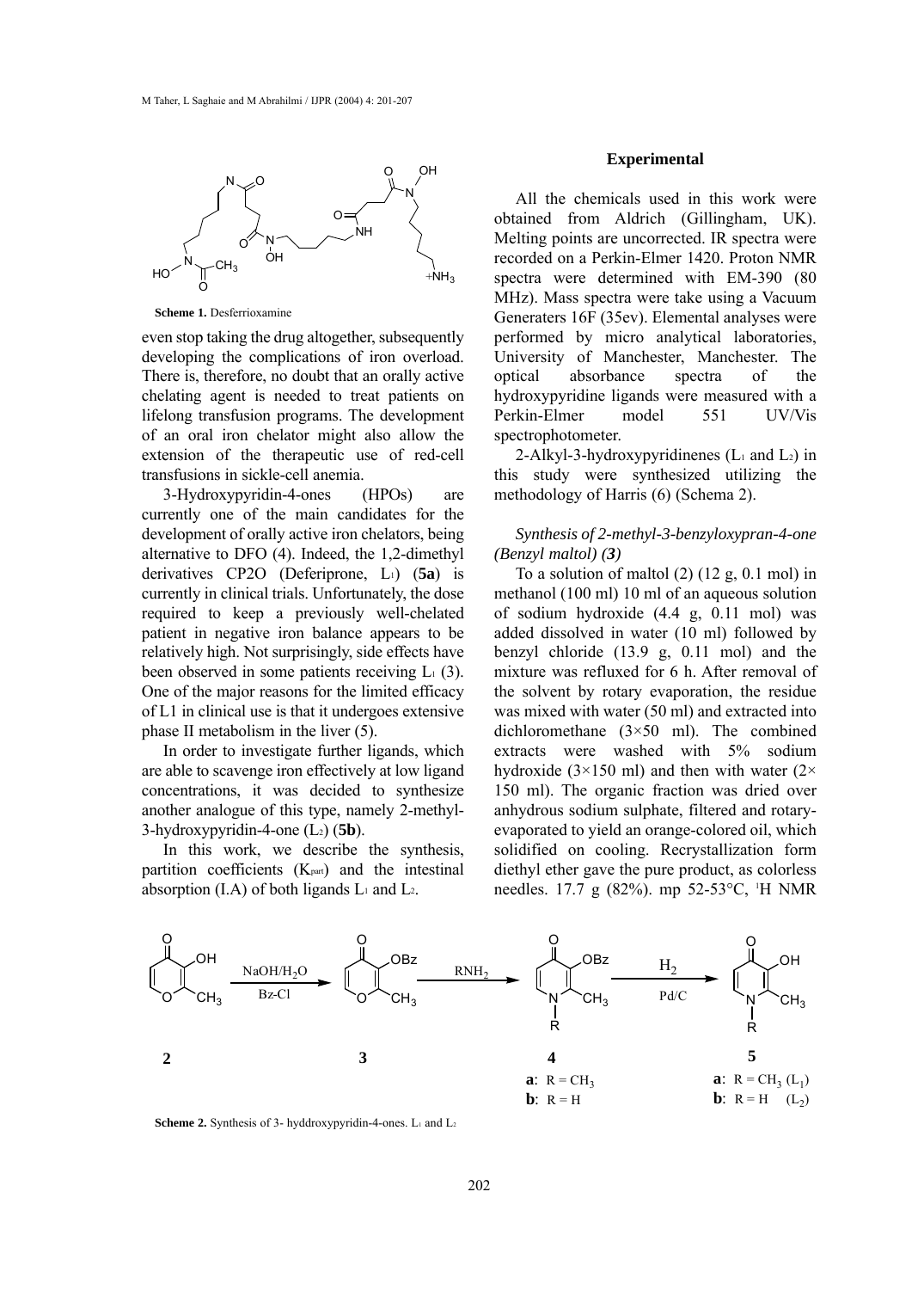

**Scheme 1.** Desferrioxamine

even stop taking the drug altogether, subsequently developing the complications of iron overload. There is, therefore, no doubt that an orally active chelating agent is needed to treat patients on lifelong transfusion programs. The development of an oral iron chelator might also allow the extension of the therapeutic use of red-cell transfusions in sickle-cell anemia.

3-Hydroxypyridin-4-ones (HPOs) are currently one of the main candidates for the development of orally active iron chelators, being alternative to DFO (4). Indeed, the 1,2-dimethyl derivatives CP2O (Deferiprone, L1) (**5a**) is currently in clinical trials. Unfortunately, the dose required to keep a previously well-chelated patient in negative iron balance appears to be relatively high. Not surprisingly, side effects have been observed in some patients receiving  $L_1$  (3). One of the major reasons for the limited efficacy of L1 in clinical use is that it undergoes extensive phase II metabolism in the liver (5).

In order to investigate further ligands, which are able to scavenge iron effectively at low ligand concentrations, it was decided to synthesize another analogue of this type, namely 2-methyl-3-hydroxypyridin-4-one (L2) (**5b**).

In this work, we describe the synthesis, partition coefficients  $(K_{part})$  and the intestinal absorption (I.A) of both ligands  $L_1$  and  $L_2$ .

#### **Experimental**

All the chemicals used in this work were obtained from Aldrich (Gillingham, UK). Melting points are uncorrected. IR spectra were recorded on a Perkin-Elmer 1420. Proton NMR spectra were determined with EM-390 (80 MHz). Mass spectra were take using a Vacuum Generaters 16F (35ev). Elemental analyses were performed by micro analytical laboratories, University of Manchester, Manchester. The optical absorbance spectra of the hydroxypyridine ligands were measured with a Perkin-Elmer model 551 UV/Vis spectrophotometer.

2-Alkyl-3-hydroxypyridinenes ( $L_1$  and  $L_2$ ) in this study were synthesized utilizing the methodology of Harris (6) (Schema 2).

### *Synthesis of 2-methyl-3-benzyloxypran-4-one (Benzyl maltol) (3)*

To a solution of maltol (2) (12 g, 0.1 mol) in methanol (100 ml) 10 ml of an aqueous solution of sodium hydroxide (4.4 g, 0.11 mol) was added dissolved in water (10 ml) followed by benzyl chloride (13.9 g, 0.11 mol) and the mixture was refluxed for 6 h. After removal of the solvent by rotary evaporation, the residue was mixed with water (50 ml) and extracted into dichloromethane (3×50 ml). The combined extracts were washed with 5% sodium hydroxide (3×150 ml) and then with water (2× 150 ml). The organic fraction was dried over anhydrous sodium sulphate, filtered and rotaryevaporated to yield an orange-colored oil, which solidified on cooling. Recrystallization form diethyl ether gave the pure product, as colorless needles. 17.7 g (82%). mp 52-53°C, <sup>1</sup>H NMR



**Scheme 2.** Synthesis of 3- hyddroxypyridin-4-ones. L<sub>1</sub> and L<sub>2</sub>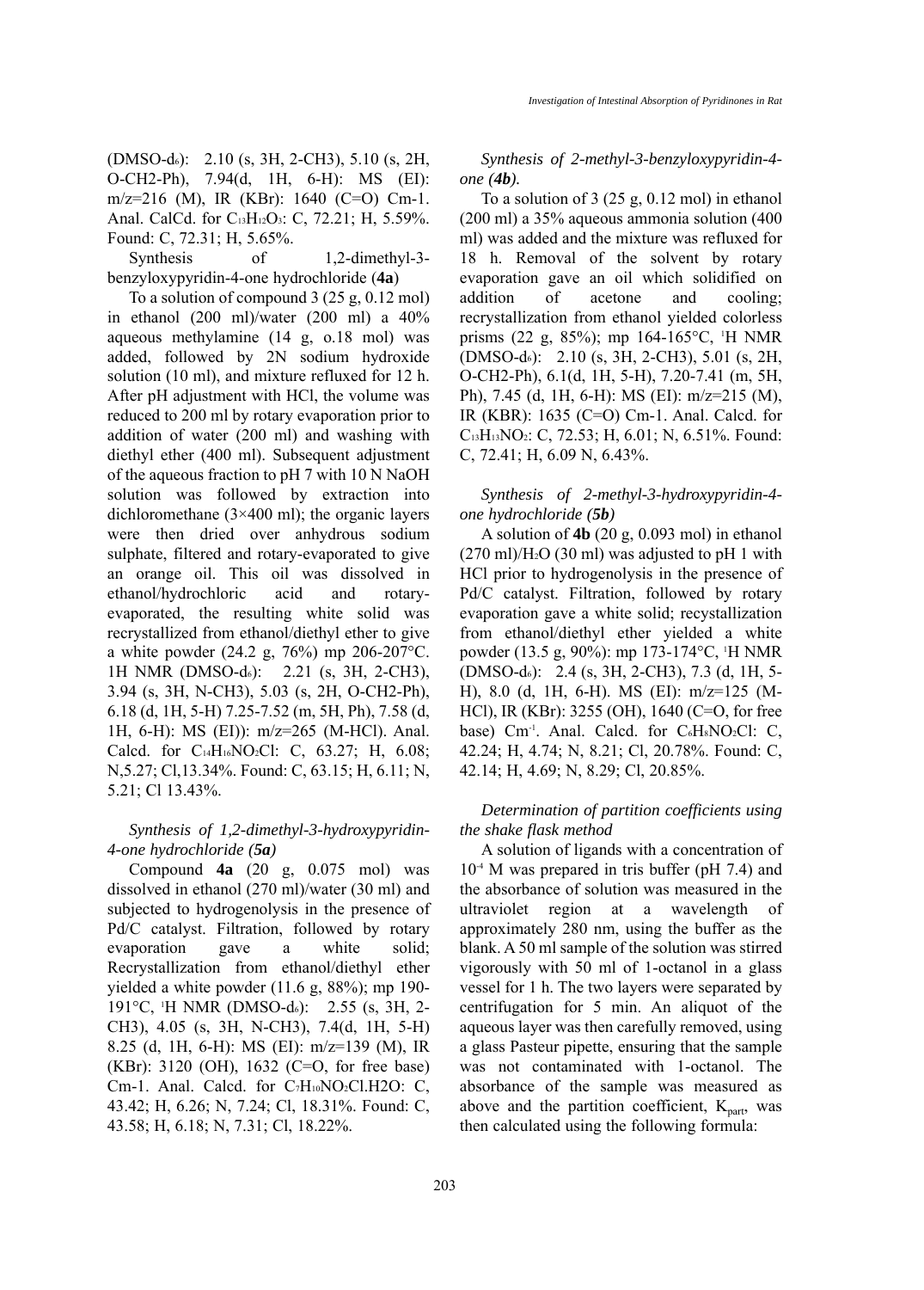(DMSO-d6): 2.10 (s, 3H, 2-CH3), 5.10 (s, 2H, O-CH2-Ph), 7.94(d, 1H, 6-H): MS (EI): m/z=216 (M), IR (KBr): 1640 (C=O) Cm-1. Anal. CalCd. for C13H12O3: C, 72.21; H, 5.59%. Found: C, 72.31; H, 5.65%.

Synthesis of 1,2-dimethyl-3benzyloxypyridin-4-one hydrochloride (**4a**)

To a solution of compound 3 (25 g, 0.12 mol) in ethanol (200 ml)/water (200 ml) a 40% aqueous methylamine (14 g, o.18 mol) was added, followed by 2N sodium hydroxide solution (10 ml), and mixture refluxed for 12 h. After pH adjustment with HCl, the volume was reduced to 200 ml by rotary evaporation prior to addition of water (200 ml) and washing with diethyl ether (400 ml). Subsequent adjustment of the aqueous fraction to pH 7 with 10 N NaOH solution was followed by extraction into dichloromethane (3×400 ml); the organic layers were then dried over anhydrous sodium sulphate, filtered and rotary-evaporated to give an orange oil. This oil was dissolved in ethanol/hydrochloric acid and rotaryevaporated, the resulting white solid was recrystallized from ethanol/diethyl ether to give a white powder (24.2 g, 76%) mp 206-207°C. 1H NMR (DMSO-d6): 2.21 (s, 3H, 2-CH3), 3.94 (s, 3H, N-CH3), 5.03 (s, 2H, O-CH2-Ph), 6.18 (d, 1H, 5-H) 7.25-7.52 (m, 5H, Ph), 7.58 (d, 1H, 6-H): MS (EI)): m/z=265 (M-HCl). Anal. Calcd. for C14H16NO2Cl: C, 63.27; H, 6.08; N,5.27; Cl,13.34%. Found: C, 63.15; H, 6.11; N, 5.21; Cl 13.43%.

## *Synthesis of 1,2-dimethyl-3-hydroxypyridin-4-one hydrochloride (5a)*

Compound **4a** (20 g, 0.075 mol) was dissolved in ethanol (270 ml)/water (30 ml) and subjected to hydrogenolysis in the presence of Pd/C catalyst. Filtration, followed by rotary evaporation gave a white solid; Recrystallization from ethanol/diethyl ether yielded a white powder (11.6 g, 88%); mp 190- 191°C, <sup>1</sup>H NMR (DMSO-d<sub>6</sub>): 2.55 (s, 3H, 2-CH3), 4.05 (s, 3H, N-CH3), 7.4(d, 1H, 5-H) 8.25 (d, 1H, 6-H): MS (EI): m/z=139 (M), IR (KBr): 3120 (OH), 1632 (C=O, for free base) Cm-1. Anal. Calcd. for C<sub>7</sub>H<sub>10</sub>NO<sub>2</sub>Cl.H2O: C, 43.42; H, 6.26; N, 7.24; Cl, 18.31%. Found: C, 43.58; H, 6.18; N, 7.31; Cl, 18.22%.

*Synthesis of 2-methyl-3-benzyloxypyridin-4 one (4b).*

To a solution of 3 (25 g, 0.12 mol) in ethanol (200 ml) a 35% aqueous ammonia solution (400 ml) was added and the mixture was refluxed for 18 h. Removal of the solvent by rotary evaporation gave an oil which solidified on addition of acetone and cooling; recrystallization from ethanol yielded colorless prisms (22 g, 85%); mp 164-165°C, 1 H NMR (DMSO-d6): 2.10 (s, 3H, 2-CH3), 5.01 (s, 2H, O-CH2-Ph), 6.1(d, 1H, 5-H), 7.20-7.41 (m, 5H, Ph), 7.45 (d, 1H, 6-H): MS (EI): m/z=215 (M), IR (KBR): 1635 (C=O) Cm-1. Anal. Calcd. for C13H13NO2: C, 72.53; H, 6.01; N, 6.51%. Found: C, 72.41; H, 6.09 N, 6.43%.

*Synthesis of 2-methyl-3-hydroxypyridin-4 one hydrochloride (5b)*

A solution of **4b** (20 g, 0.093 mol) in ethanol  $(270 \text{ ml})/H_2O$  (30 ml) was adjusted to pH 1 with HCl prior to hydrogenolysis in the presence of Pd/C catalyst. Filtration, followed by rotary evaporation gave a white solid; recystallization from ethanol/diethyl ether yielded a white powder (13.5 g, 90%): mp 173-174°C, 1 H NMR (DMSO-d6): 2.4 (s, 3H, 2-CH3), 7.3 (d, 1H, 5- H), 8.0 (d, 1H, 6-H). MS (EI): m/z=125 (M-HCl), IR (KBr): 3255 (OH), 1640 (C=O, for free base) Cm<sup>-1</sup>. Anal. Calcd. for C6H8NO2Cl: C, 42.24; H, 4.74; N, 8.21; Cl, 20.78%. Found: C, 42.14; H, 4.69; N, 8.29; Cl, 20.85%.

### *Determination of partition coefficients using the shake flask method*

A solution of ligands with a concentration of 10-4 M was prepared in tris buffer (pH 7.4) and the absorbance of solution was measured in the ultraviolet region at a wavelength of approximately 280 nm, using the buffer as the blank. A 50 ml sample of the solution was stirred vigorously with 50 ml of 1-octanol in a glass vessel for 1 h. The two layers were separated by centrifugation for 5 min. An aliquot of the aqueous layer was then carefully removed, using a glass Pasteur pipette, ensuring that the sample was not contaminated with 1-octanol. The absorbance of the sample was measured as above and the partition coefficient,  $K_{part}$ , was then calculated using the following formula: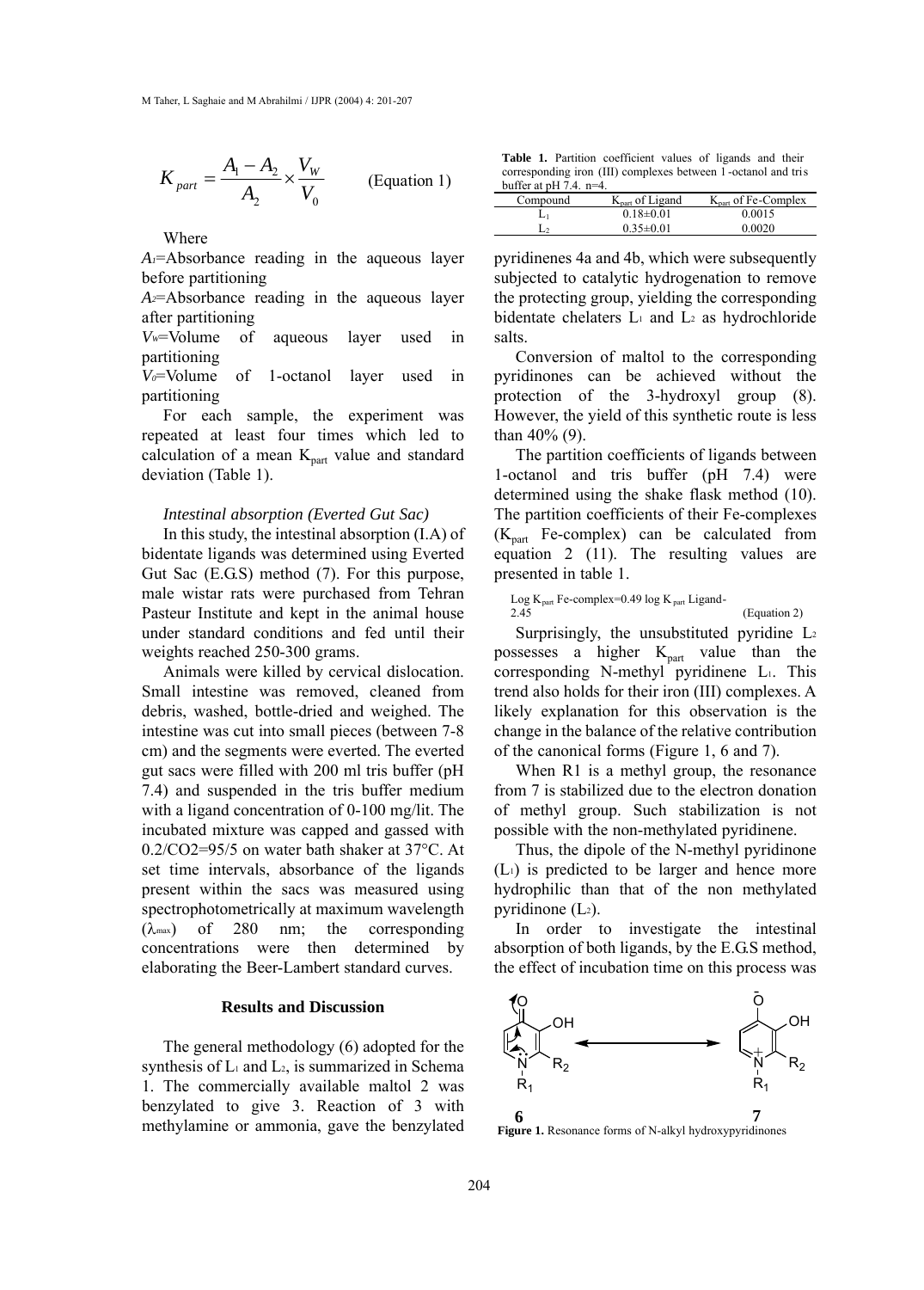$$
K_{part} = \frac{A_1 - A_2}{A_2} \times \frac{V_W}{V_0}
$$
 (Equation 1)

Where

*A1*=Absorbance reading in the aqueous layer before partitioning

*A2*=Absorbance reading in the aqueous layer after partitioning

*VW*=Volume of aqueous layer used in partitioning

*V*<sup> $o=$ </sup>Volume of 1-octanol layer used in partitioning

For each sample, the experiment was repeated at least four times which led to calculation of a mean  $K_{part}$  value and standard deviation (Table 1).

#### *Intestinal absorption (Everted Gut Sac)*

In this study, the intestinal absorption (I.A) of bidentate ligands was determined using Everted Gut Sac (E.G.S) method (7). For this purpose, male wistar rats were purchased from Tehran Pasteur Institute and kept in the animal house under standard conditions and fed until their weights reached 250-300 grams.

Animals were killed by cervical dislocation. Small intestine was removed, cleaned from debris, washed, bottle-dried and weighed. The intestine was cut into small pieces (between 7-8 cm) and the segments were everted. The everted gut sacs were filled with 200 ml tris buffer (pH 7.4) and suspended in the tris buffer medium with a ligand concentration of 0-100 mg/lit. The incubated mixture was capped and gassed with 0.2/CO2=95/5 on water bath shaker at 37°C. At set time intervals, absorbance of the ligands present within the sacs was measured using spectrophotometrically at maximum wavelength  $(\lambda_{\text{max}})$  of 280 nm; the corresponding concentrations were then determined by elaborating the Beer-Lambert standard curves.

### **Results and Discussion**

The general methodology (6) adopted for the synthesis of  $L_1$  and  $L_2$ , is summarized in Schema 1. The commercially available maltol 2 was benzylated to give 3. Reaction of 3 with methylamine or ammonia, gave the benzylated

**Table 1.** Partition coefficient values of ligands and their corresponding iron (III) complexes between 1 -octanol and tris buffer at  $pH 7.4.$   $n=4$ 

| Compound | $K_{part}$ of Ligand | $K_{part}$ of Fe-Complex |
|----------|----------------------|--------------------------|
| L1       | $0.18 \pm 0.01$      | 0.0015                   |
| L٥       | $0.35 \pm 0.01$      | 0.0020                   |

pyridinenes 4a and 4b, which were subsequently subjected to catalytic hydrogenation to remove the protecting group, yielding the corresponding bidentate chelaters  $L_1$  and  $L_2$  as hydrochloride salts.

Conversion of maltol to the corresponding pyridinones can be achieved without the protection of the 3-hydroxyl group (8). However, the yield of this synthetic route is less than  $40\%$  (9).

The partition coefficients of ligands between 1-octanol and tris buffer (pH 7.4) were determined using the shake flask method (10). The partition coefficients of their Fe-complexes  $(K_{part}$  Fe-complex) can be calculated from equation 2 (11). The resulting values are presented in table 1.

Log  $K_{part}$  Fe-complex=0.49 log  $K_{part}$  Ligand-2.45 (Equation 2)

Surprisingly, the unsubstituted pyridine L<sub>2</sub> possesses a higher K<sub>part</sub> value than the corresponding N-methyl pyridinene L<sub>1</sub>. This trend also holds for their iron (III) complexes. A likely explanation for this observation is the change in the balance of the relative contribution of the canonical forms (Figure 1, 6 and 7).

When R1 is a methyl group, the resonance from 7 is stabilized due to the electron donation of methyl group. Such stabilization is not possible with the non-methylated pyridinene.

Thus, the dipole of the N-methyl pyridinone (L1) is predicted to be larger and hence more hydrophilic than that of the non methylated pyridinone  $(L<sub>2</sub>)$ .

In order to investigate the intestinal absorption of both ligands, by the E.G.S method, the effect of incubation time on this process was



**Figure 1.** Resonance forms of N-alkyl hydroxypyridinones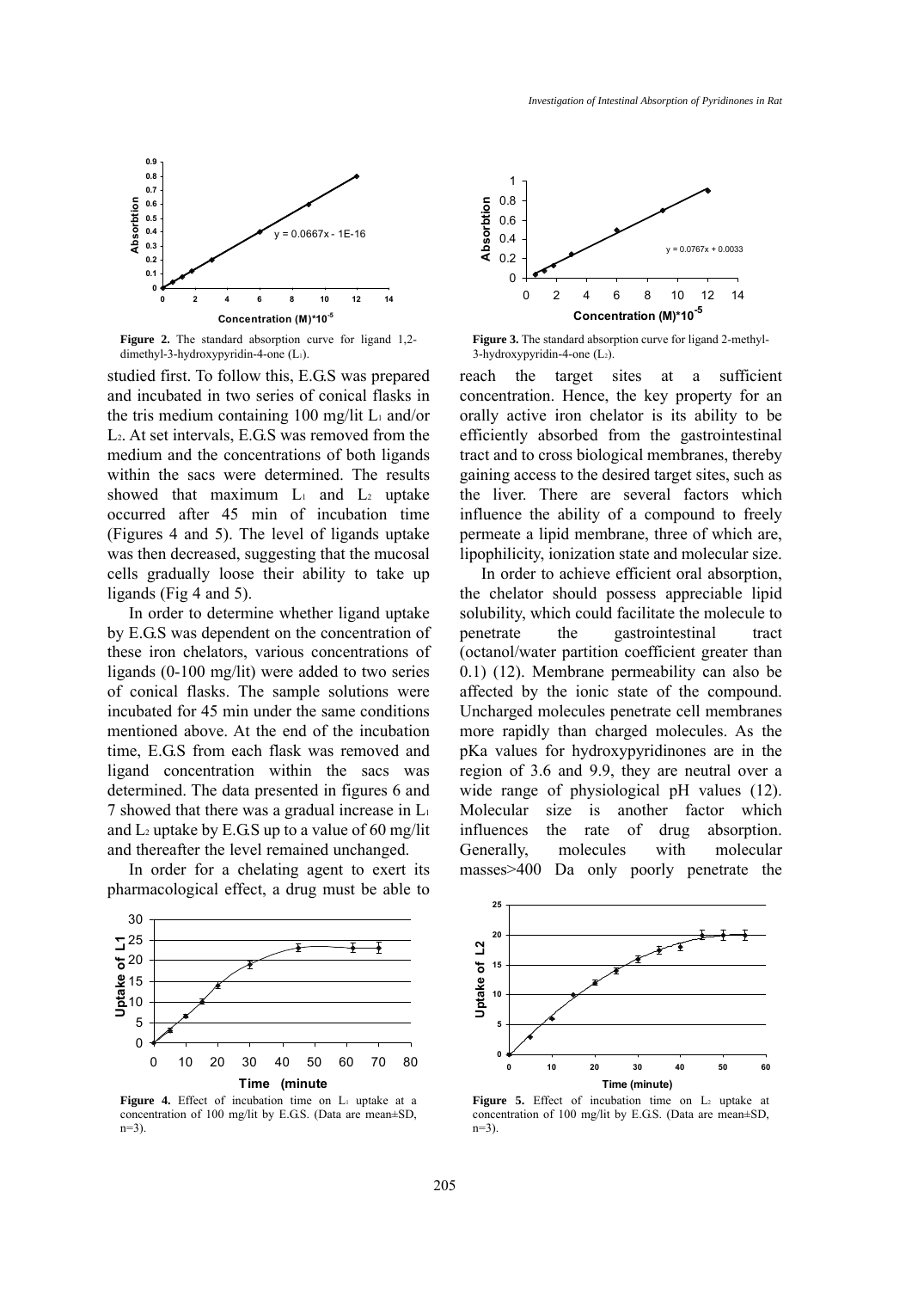

**Figure 2.** The standard absorption curve for ligand 1,2 dimethyl-3-hydroxypyridin-4-one (L1).

studied first. To follow this, E.G.S was prepared and incubated in two series of conical flasks in the tris medium containing 100 mg/lit  $L_1$  and/or L2. At set intervals, E.G.S was removed from the medium and the concentrations of both ligands within the sacs were determined. The results showed that maximum  $L_1$  and  $L_2$  uptake occurred after 45 min of incubation time (Figures 4 and 5). The level of ligands uptake was then decreased, suggesting that the mucosal cells gradually loose their ability to take up ligands (Fig 4 and 5).

In order to determine whether ligand uptake by E.G.S was dependent on the concentration of these iron chelators, various concentrations of ligands (0-100 mg/lit) were added to two series of conical flasks. The sample solutions were incubated for 45 min under the same conditions mentioned above. At the end of the incubation time, E.G.S from each flask was removed and ligand concentration within the sacs was determined. The data presented in figures 6 and 7 showed that there was a gradual increase in L1 and  $L_2$  uptake by E.G.S up to a value of 60 mg/lit and thereafter the level remained unchanged.

In order for a chelating agent to exert its pharmacological effect, a drug must be able to



Figure 4. Effect of incubation time on L<sub>1</sub> uptake at a concentration of 100 mg/lit by E.G.S. (Data are mean±SD, n=3).



**Figure 3.** The standard absorption curve for ligand 2-methyl-3-hydroxypyridin-4-one  $(L<sub>2</sub>)$ .

reach the target sites at a sufficient concentration. Hence, the key property for an orally active iron chelator is its ability to be efficiently absorbed from the gastrointestinal tract and to cross biological membranes, thereby gaining access to the desired target sites, such as the liver. There are several factors which influence the ability of a compound to freely permeate a lipid membrane, three of which are, lipophilicity, ionization state and molecular size.

In order to achieve efficient oral absorption, the chelator should possess appreciable lipid solubility, which could facilitate the molecule to penetrate the gastrointestinal tract (octanol/water partition coefficient greater than 0.1) (12). Membrane permeability can also be affected by the ionic state of the compound. Uncharged molecules penetrate cell membranes more rapidly than charged molecules. As the pKa values for hydroxypyridinones are in the region of 3.6 and 9.9, they are neutral over a wide range of physiological pH values (12). Molecular size is another factor which influences the rate of drug absorption. Generally, molecules with molecular masses>400 Da only poorly penetrate the



Figure 5. Effect of incubation time on L<sub>2</sub> uptake at concentration of 100 mg/lit by E.G.S. (Data are mean±SD, n=3).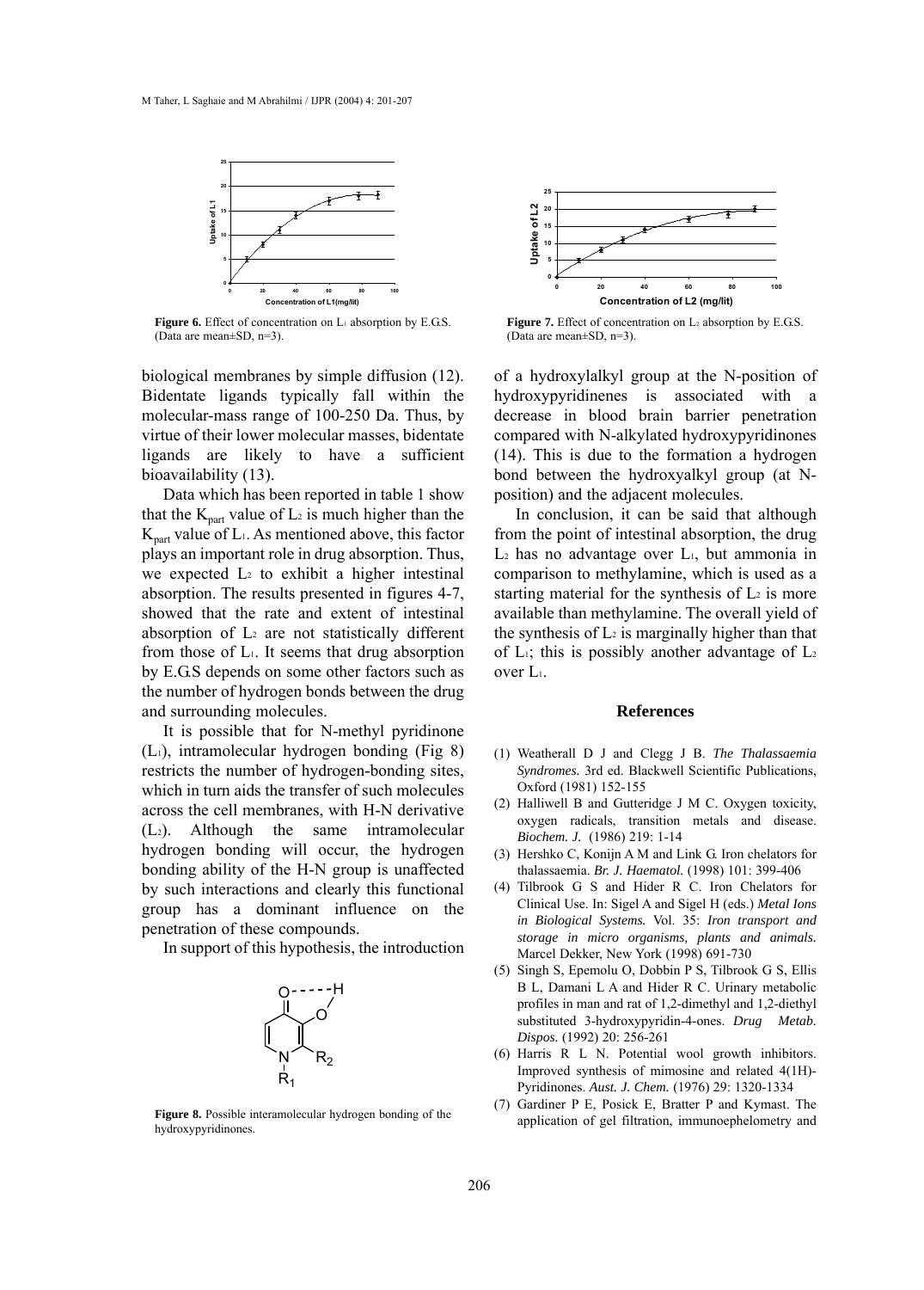

Figure 6. Effect of concentration on L<sub>1</sub> absorption by E.G.S. (Data are mean±SD, n=3).

biological membranes by simple diffusion (12). Bidentate ligands typically fall within the molecular-mass range of 100-250 Da. Thus, by virtue of their lower molecular masses, bidentate ligands are likely to have a sufficient bioavailability (13).

Data which has been reported in table 1 show that the  $K_{part}$  value of  $L_2$  is much higher than the  $K_{part}$  value of L<sub>1</sub>. As mentioned above, this factor plays an important role in drug absorption. Thus, we expected  $L_2$  to exhibit a higher intestinal absorption. The results presented in figures 4-7, showed that the rate and extent of intestinal absorption of  $L<sub>2</sub>$  are not statistically different from those of L1. It seems that drug absorption by E.G.S depends on some other factors such as the number of hydrogen bonds between the drug and surrounding molecules.

It is possible that for N-methyl pyridinone  $(L_1)$ , intramolecular hydrogen bonding (Fig 8) restricts the number of hydrogen-bonding sites, which in turn aids the transfer of such molecules across the cell membranes, with H-N derivative (L2). Although the same intramolecular hydrogen bonding will occur, the hydrogen bonding ability of the H-N group is unaffected by such interactions and clearly this functional group has a dominant influence on the penetration of these compounds.

In support of this hypothesis, the introduction



**Figure 8.** Possible interamolecular hydrogen bonding of the hydroxypyridinones.



Figure 7. Effect of concentration on L<sub>2</sub> absorption by E.G.S. (Data are mean±SD, n=3).

of a hydroxylalkyl group at the N-position of hydroxypyridinenes is associated with a decrease in blood brain barrier penetration compared with N-alkylated hydroxypyridinones (14). This is due to the formation a hydrogen bond between the hydroxyalkyl group (at Nposition) and the adjacent molecules.

In conclusion, it can be said that although from the point of intestinal absorption, the drug  $L<sub>2</sub>$  has no advantage over  $L<sub>1</sub>$ , but ammonia in comparison to methylamine, which is used as a starting material for the synthesis of  $L_2$  is more available than methylamine. The overall yield of the synthesis of  $L_2$  is marginally higher than that of L<sub>1</sub>; this is possibly another advantage of L<sub>2</sub> over L1.

#### **References**

- Weatherall D J and Clegg J B. *The Thalassaemia* (1) *Syndromes.* 3rd ed. Blackwell Scientific Publications, Oxford (1981) 152-155
- (2) Halliwell B and Gutteridge J M C. Oxygen toxicity, oxygen radicals, transition metals and disease. *Biochem. J.* (1986) 219: 1-14
- (3) Hershko C, Konijn A M and Link G. Iron chelators for thalassaemia. *Br. J. Haematol.* (1998) 101: 399-406
- (4) Tilbrook G S and Hider R C. Iron Chelators for Clinical Use. In: Sigel A and Sigel H (eds.) *Metal Ions in Biological Systems.* Vol. 35: *Iron transport and storage in micro organisms, plants and animals.* Marcel Dekker, New York (1998) 691-730
- (5) Singh S, Epemolu O, Dobbin P S, Tilbrook G S, Ellis B L, Damani L A and Hider R C. Urinary metabolic profiles in man and rat of 1,2-dimethyl and 1,2-diethyl substituted 3-hydroxypyridin-4-ones. *Drug Metab. Dispos.* (1992) 20: 256-261
- (6) Harris R L N. Potential wool growth inhibitors. Improved synthesis of mimosine and related 4(1H)- Pyridinones. *Aust. J. Chem.* (1976) 29: 1320-1334
- (7) Gardiner P E, Posick E, Bratter P and Kymast. The application of gel filtration, immunoephelometry and